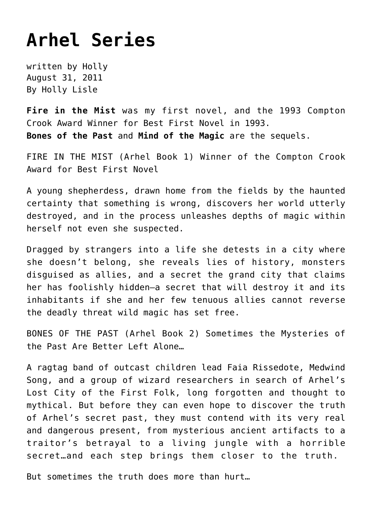## **[Arhel Series](https://hollylisle.com/arhel-series/)**

written by Holly August 31, 2011 [By Holly Lisle](https://hollylisle.com)

**Fire in the Mist** was my first novel, and the 1993 Compton Crook Award Winner for Best First Novel in 1993. **Bones of the Past** and **Mind of the Magic** are the sequels.

[FIRE IN THE MIST \(Arhel Book 1\)](https://hollylisle.com/fire-in-the-mist/) Winner of the Compton Crook Award for Best First Novel

A young shepherdess, drawn home from the fields by the haunted certainty that something is wrong, discovers her world utterly destroyed, and in the process unleashes depths of magic within herself not even she suspected.

Dragged by strangers into a life she detests in a city where she doesn't belong, she reveals lies of history, monsters disguised as allies, and a secret the grand city that claims her has foolishly hidden—a secret that will destroy it and its inhabitants if she and her few tenuous allies cannot reverse the deadly threat wild magic has set free.

[BONES OF THE PAST \(Arhel Book 2\)](https://hollylisle.com/bones-of-the-past/) Sometimes the Mysteries of the Past Are Better Left Alone…

A ragtag band of outcast children lead Faia Rissedote, Medwind Song, and a group of wizard researchers in search of Arhel's Lost City of the First Folk, long forgotten and thought to mythical. But before they can even hope to discover the truth of Arhel's secret past, they must contend with its very real and dangerous present, from mysterious ancient artifacts to a traitor's betrayal to a living jungle with a horrible secret…and each step brings them closer to the truth.

But sometimes the truth does more than hurt…